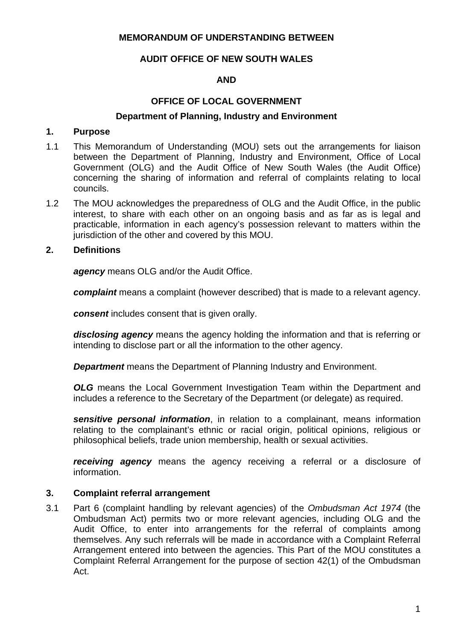### **MEMORANDUM OF UNDERSTANDING BETWEEN**

# **AUDIT OFFICE OF NEW SOUTH WALES**

## **AND**

# **OFFICE OF LOCAL GOVERNMENT**

#### **Department of Planning, Industry and Environment**

#### **1. Purpose**

- 1.1 This Memorandum of Understanding (MOU) sets out the arrangements for liaison between the Department of Planning, Industry and Environment, Office of Local Government (OLG) and the Audit Office of New South Wales (the Audit Office) concerning the sharing of information and referral of complaints relating to local councils.
- 1.2 The MOU acknowledges the preparedness of OLG and the Audit Office, in the public interest, to share with each other on an ongoing basis and as far as is legal and practicable, information in each agency's possession relevant to matters within the jurisdiction of the other and covered by this MOU.

## **2. Definitions**

*agency* means OLG and/or the Audit Office.

*complaint* means a complaint (however described) that is made to a relevant agency.

*consent* includes consent that is given orally.

*disclosing agency* means the agency holding the information and that is referring or intending to disclose part or all the information to the other agency.

*Department* means the Department of Planning Industry and Environment.

**OLG** means the Local Government Investigation Team within the Department and includes a reference to the Secretary of the Department (or delegate) as required.

*sensitive personal information*, in relation to a complainant, means information relating to the complainant's ethnic or racial origin, political opinions, religious or philosophical beliefs, trade union membership, health or sexual activities.

*receiving agency* means the agency receiving a referral or a disclosure of information.

### **3. Complaint referral arrangement**

3.1 Part 6 (complaint handling by relevant agencies) of the *Ombudsman Act 1974* (the Ombudsman Act) permits two or more relevant agencies, including OLG and the Audit Office, to enter into arrangements for the referral of complaints among themselves. Any such referrals will be made in accordance with a Complaint Referral Arrangement entered into between the agencies. This Part of the MOU constitutes a Complaint Referral Arrangement for the purpose of section 42(1) of the Ombudsman Act.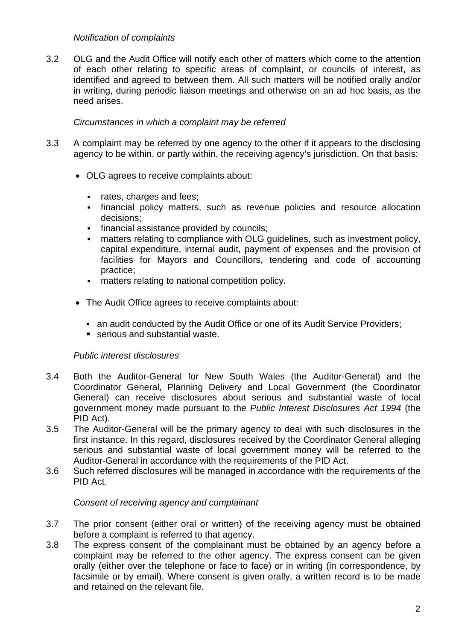### *Notification of complaints*

3.2 OLG and the Audit Office will notify each other of matters which come to the attention of each other relating to specific areas of complaint, or councils of interest, as identified and agreed to between them. All such matters will be notified orally and/or in writing, during periodic liaison meetings and otherwise on an ad hoc basis, as the need arises.

## *Circumstances in which a complaint may be referred*

- 3.3 A complaint may be referred by one agency to the other if it appears to the disclosing agency to be within, or partly within, the receiving agency's jurisdiction. On that basis:
	- OLG agrees to receive complaints about:
		- rates, charges and fees:
		- financial policy matters, such as revenue policies and resource allocation decisions;
		- **financial assistance provided by councils;**
		- matters relating to compliance with OLG guidelines, such as investment policy, capital expenditure, internal audit, payment of expenses and the provision of facilities for Mayors and Councillors, tendering and code of accounting practice;
		- matters relating to national competition policy.
	- The Audit Office agrees to receive complaints about:
		- an audit conducted by the Audit Office or one of its Audit Service Providers;
		- serious and substantial waste.

### *Public interest disclosures*

- 3.4 Both the Auditor-General for New South Wales (the Auditor-General) and the Coordinator General, Planning Delivery and Local Government (the Coordinator General) can receive disclosures about serious and substantial waste of local government money made pursuant to the *Public Interest Disclosures Act 1994* (the PID Act).
- 3.5 The Auditor-General will be the primary agency to deal with such disclosures in the first instance. In this regard, disclosures received by the Coordinator General alleging serious and substantial waste of local government money will be referred to the Auditor-General in accordance with the requirements of the PID Act.
- 3.6 Such referred disclosures will be managed in accordance with the requirements of the PID Act.

### *Consent of receiving agency and complainant*

- 3.7 The prior consent (either oral or written) of the receiving agency must be obtained before a complaint is referred to that agency.
- 3.8 The express consent of the complainant must be obtained by an agency before a complaint may be referred to the other agency. The express consent can be given orally (either over the telephone or face to face) or in writing (in correspondence, by facsimile or by email). Where consent is given orally, a written record is to be made and retained on the relevant file.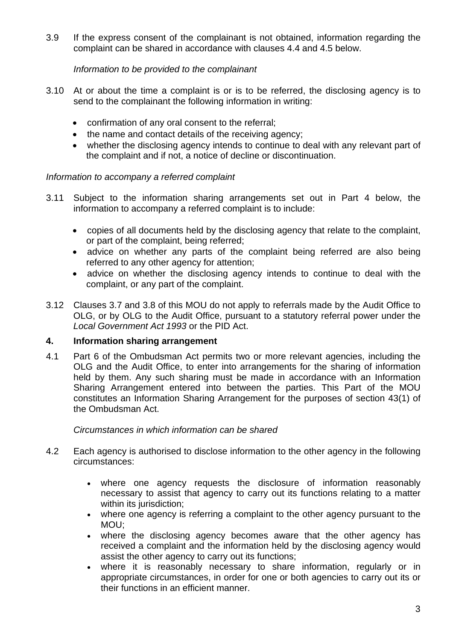3.9 If the express consent of the complainant is not obtained, information regarding the complaint can be shared in accordance with clauses 4.4 and 4.5 below.

### *Information to be provided to the complainant*

- 3.10 At or about the time a complaint is or is to be referred, the disclosing agency is to send to the complainant the following information in writing:
	- confirmation of any oral consent to the referral;
	- the name and contact details of the receiving agency;
	- whether the disclosing agency intends to continue to deal with any relevant part of the complaint and if not, a notice of decline or discontinuation.

### *Information to accompany a referred complaint*

- 3.11 Subject to the information sharing arrangements set out in Part 4 below, the information to accompany a referred complaint is to include:
	- copies of all documents held by the disclosing agency that relate to the complaint, or part of the complaint, being referred;
	- advice on whether any parts of the complaint being referred are also being referred to any other agency for attention;
	- advice on whether the disclosing agency intends to continue to deal with the complaint, or any part of the complaint.
- 3.12 Clauses 3.7 and 3.8 of this MOU do not apply to referrals made by the Audit Office to OLG, or by OLG to the Audit Office, pursuant to a statutory referral power under the *Local Government Act 1993* or the PID Act.

### **4. Information sharing arrangement**

4.1 Part 6 of the Ombudsman Act permits two or more relevant agencies, including the OLG and the Audit Office, to enter into arrangements for the sharing of information held by them. Any such sharing must be made in accordance with an Information Sharing Arrangement entered into between the parties. This Part of the MOU constitutes an Information Sharing Arrangement for the purposes of section 43(1) of the Ombudsman Act.

### *Circumstances in which information can be shared*

- 4.2 Each agency is authorised to disclose information to the other agency in the following circumstances:
	- where one agency requests the disclosure of information reasonably necessary to assist that agency to carry out its functions relating to a matter within its jurisdiction;
	- where one agency is referring a complaint to the other agency pursuant to the MOU;
	- where the disclosing agency becomes aware that the other agency has received a complaint and the information held by the disclosing agency would assist the other agency to carry out its functions;
	- where it is reasonably necessary to share information, regularly or in appropriate circumstances, in order for one or both agencies to carry out its or their functions in an efficient manner.